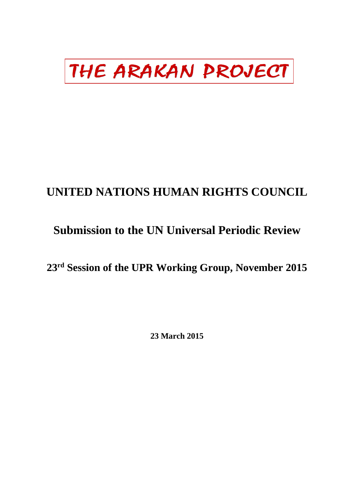# THE ARAKAN PROJECT

# **UNITED NATIONS HUMAN RIGHTS COUNCIL**

# **Submission to the UN Universal Periodic Review**

# **23rd Session of the UPR Working Group, November 2015**

**23 March 2015**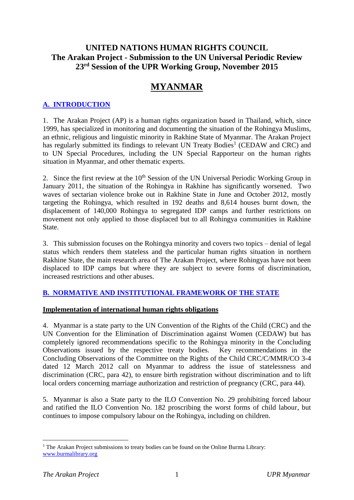# **UNITED NATIONS HUMAN RIGHTS COUNCIL The Arakan Project - Submission to the UN Universal Periodic Review 23rd Session of the UPR Working Group, November 2015**

# **MYANMAR**

## **A. INTRODUCTION**

1. The Arakan Project (AP) is a human rights organization based in Thailand, which, since 1999, has specialized in monitoring and documenting the situation of the Rohingya Muslims, an ethnic, religious and linguistic minority in Rakhine State of Myanmar. The Arakan Project has regularly submitted its findings to relevant UN Treaty Bodies<sup>1</sup> (CEDAW and CRC) and to UN Special Procedures, including the UN Special Rapporteur on the human rights situation in Myanmar, and other thematic experts.

2. Since the first review at the 10<sup>th</sup> Session of the UN Universal Periodic Working Group in January 2011, the situation of the Rohingya in Rakhine has significantly worsened. Two waves of sectarian violence broke out in Rakhine State in June and October 2012, mostly targeting the Rohingya, which resulted in 192 deaths and 8,614 houses burnt down, the displacement of 140,000 Rohingya to segregated IDP camps and further restrictions on movement not only applied to those displaced but to all Rohingya communities in Rakhine State.

3. This submission focuses on the Rohingya minority and covers two topics – denial of legal status which renders them stateless and the particular human rights situation in northern Rakhine State, the main research area of The Arakan Project, where Rohingyas have not been displaced to IDP camps but where they are subject to severe forms of discrimination, increased restrictions and other abuses.

### **B. NORMATIVE AND INSTITUTIONAL FRAMEWORK OF THE STATE**

### **Implementation of international human rights obligations**

4. Myanmar is a state party to the UN Convention of the Rights of the Child (CRC) and the UN Convention for the Elimination of Discrimination against Women (CEDAW) but has completely ignored recommendations specific to the Rohingya minority in the Concluding Observations issued by the respective treaty bodies. Key recommendations in the Concluding Observations of the Committee on the Rights of the Child CRC/C/MMR/CO 3-4 dated 12 March 2012 call on Myanmar to address the issue of statelessness and discrimination (CRC, para 42), to ensure birth registration without discrimination and to lift local orders concerning marriage authorization and restriction of pregnancy (CRC, para 44).

5. Myanmar is also a State party to the ILO Convention No. 29 prohibiting forced labour and ratified the ILO Convention No. 182 proscribing the worst forms of child labour, but continues to impose compulsory labour on the Rohingya, including on children.

1

<sup>&</sup>lt;sup>1</sup> The Arakan Project submissions to treaty bodies can be found on the Online Burma Library: [www.burmalibrary.org](http://www.burmalibrary.org/)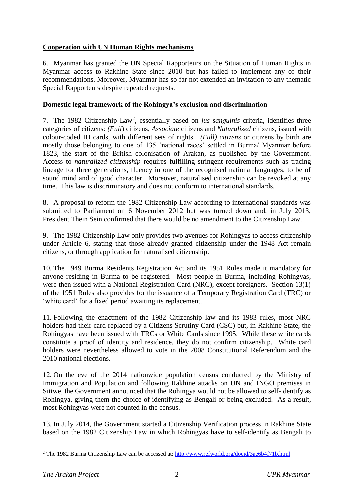### **Cooperation with UN Human Rights mechanisms**

6. Myanmar has granted the UN Special Rapporteurs on the Situation of Human Rights in Myanmar access to Rakhine State since 2010 but has failed to implement any of their recommendations. Moreover, Myanmar has so far not extended an invitation to any thematic Special Rapporteurs despite repeated requests.

#### **Domestic legal framework of the Rohingya's exclusion and discrimination**

7. The 1982 Citizenship Law<sup>2</sup>, essentially based on *jus sanguinis* criteria, identifies three categories of citizens: *(Full*) citizens, *Associate* citizens and *Naturalized* citizens, issued with colour-coded ID cards, with different sets of rights. *(Full) citizens* or citizens by birth are mostly those belonging to one of 135 'national races' settled in Burma/ Myanmar before 1823, the start of the British colonisation of Arakan, as published by the Government. Access to *naturalized citizenship* requires fulfilling stringent requirements such as tracing lineage for three generations, fluency in one of the recognised national languages, to be of sound mind and of good character. Moreover, naturalised citizenship can be revoked at any time. This law is discriminatory and does not conform to international standards.

8. A proposal to reform the 1982 Citizenship Law according to international standards was submitted to Parliament on 6 November 2012 but was turned down and, in July 2013, President Thein Sein confirmed that there would be no amendment to the Citizenship Law.

9. The 1982 Citizenship Law only provides two avenues for Rohingyas to access citizenship under Article 6, stating that those already granted citizenship under the 1948 Act remain citizens, or through application for naturalised citizenship.

10. The 1949 Burma Residents Registration Act and its 1951 Rules made it mandatory for anyone residing in Burma to be registered. Most people in Burma, including Rohingyas, were then issued with a National Registration Card (NRC), except foreigners. Section 13(1) of the 1951 Rules also provides for the issuance of a Temporary Registration Card (TRC) or 'white card' for a fixed period awaiting its replacement.

11. Following the enactment of the 1982 Citizenship law and its 1983 rules, most NRC holders had their card replaced by a Citizens Scrutiny Card (CSC) but, in Rakhine State, the Rohingyas have been issued with TRCs or White Cards since 1995. While these white cards constitute a proof of identity and residence, they do not confirm citizenship. White card holders were nevertheless allowed to vote in the 2008 Constitutional Referendum and the 2010 national elections.

12. On the eve of the 2014 nationwide population census conducted by the Ministry of Immigration and Population and following Rakhine attacks on UN and INGO premises in Sittwe, the Government announced that the Rohingya would not be allowed to self-identify as Rohingya, giving them the choice of identifying as Bengali or being excluded. As a result, most Rohingyas were not counted in the census.

13. In July 2014, the Government started a Citizenship Verification process in Rakhine State based on the 1982 Citizenship Law in which Rohingyas have to self-identify as Bengali to

1

<sup>2</sup> The 1982 Burma Citizenship Law can be accessed at: <http://www.refworld.org/docid/3ae6b4f71b.html>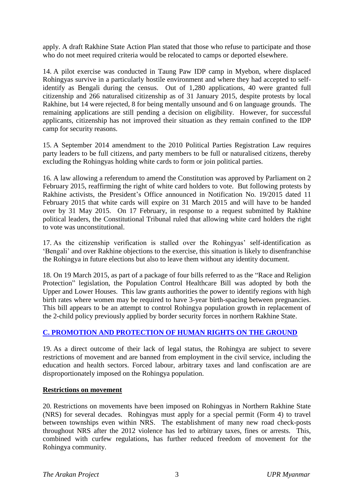apply. A draft Rakhine State Action Plan stated that those who refuse to participate and those who do not meet required criteria would be relocated to camps or deported elsewhere.

14. A pilot exercise was conducted in Taung Paw IDP camp in Myebon, where displaced Rohingyas survive in a particularly hostile environment and where they had accepted to selfidentify as Bengali during the census. Out of 1,280 applications, 40 were granted full citizenship and 266 naturalised citizenship as of 31 January 2015, despite protests by local Rakhine, but 14 were rejected, 8 for being mentally unsound and 6 on language grounds. The remaining applications are still pending a decision on eligibility. However, for successful applicants, citizenship has not improved their situation as they remain confined to the IDP camp for security reasons.

15. A September 2014 amendment to the 2010 Political Parties Registration Law requires party leaders to be full citizens, and party members to be full or naturalised citizens, thereby excluding the Rohingyas holding white cards to form or join political parties.

16. A law allowing a referendum to amend the Constitution was approved by Parliament on 2 February 2015, reaffirming the right of white card holders to vote. But following protests by Rakhine activists, the President's Office announced in Notification No. 19/2015 dated 11 February 2015 that white cards will expire on 31 March 2015 and will have to be handed over by 31 May 2015. On 17 February, in response to a request submitted by Rakhine political leaders, the Constitutional Tribunal ruled that allowing white card holders the right to vote was unconstitutional.

17. As the citizenship verification is stalled over the Rohingyas' self-identification as 'Bengali' and over Rakhine objections to the exercise, this situation is likely to disenfranchise the Rohingya in future elections but also to leave them without any identity document.

18. On 19 March 2015, as part of a package of four bills referred to as the "Race and Religion Protection" legislation, the Population Control Healthcare Bill was adopted by both the Upper and Lower Houses. This law grants authorities the power to identify regions with high birth rates where women may be required to have 3-year birth-spacing between pregnancies. This bill appears to be an attempt to control Rohingya population growth in replacement of the 2-child policy previously applied by border security forces in northern Rakhine State.

#### **C. PROMOTION AND PROTECTION OF HUMAN RIGHTS ON THE GROUND**

19. As a direct outcome of their lack of legal status, the Rohingya are subject to severe restrictions of movement and are banned from employment in the civil service, including the education and health sectors. Forced labour, arbitrary taxes and land confiscation are are disproportionately imposed on the Rohingya population.

#### **Restrictions on movement**

20. Restrictions on movements have been imposed on Rohingyas in Northern Rakhine State (NRS) for several decades. Rohingyas must apply for a special permit (Form 4) to travel between townships even within NRS. The establishment of many new road check-posts throughout NRS after the 2012 violence has led to arbitrary taxes, fines or arrests. This, combined with curfew regulations, has further reduced freedom of movement for the Rohingya community.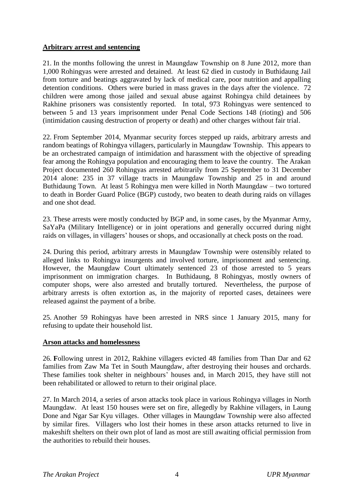#### **Arbitrary arrest and sentencing**

21. In the months following the unrest in Maungdaw Township on 8 June 2012, more than 1,000 Rohingyas were arrested and detained. At least 62 died in custody in Buthidaung Jail from torture and beatings aggravated by lack of medical care, poor nutrition and appalling detention conditions. Others were buried in mass graves in the days after the violence. 72 children were among those jailed and sexual abuse against Rohingya child detainees by Rakhine prisoners was consistently reported. In total, 973 Rohingyas were sentenced to between 5 and 13 years imprisonment under Penal Code Sections 148 (rioting) and 506 (intimidation causing destruction of property or death) and other charges without fair trial.

22. From September 2014, Myanmar security forces stepped up raids, arbitrary arrests and random beatings of Rohingya villagers, particularly in Maungdaw Township. This appears to be an orchestrated campaign of intimidation and harassment with the objective of spreading fear among the Rohingya population and encouraging them to leave the country. The Arakan Project documented 260 Rohingyas arrested arbitrarily from 25 September to 31 December 2014 alone: 235 in 37 village tracts in Maungdaw Township and 25 in and around Buthidaung Town. At least 5 Rohingya men were killed in North Maungdaw – two tortured to death in Border Guard Police (BGP) custody, two beaten to death during raids on villages and one shot dead.

23. These arrests were mostly conducted by BGP and, in some cases, by the Myanmar Army, SaYaPa (Military Intelligence) or in joint operations and generally occurred during night raids on villages, in villagers' houses or shops, and occasionally at check posts on the road.

24. During this period, arbitrary arrests in Maungdaw Township were ostensibly related to alleged links to Rohingya insurgents and involved torture, imprisonment and sentencing. However, the Maungdaw Court ultimately sentenced 23 of those arrested to 5 years imprisonment on immigration charges. In Buthidaung, 8 Rohingyas, mostly owners of computer shops, were also arrested and brutally tortured. Nevertheless, the purpose of arbitrary arrests is often extortion as, in the majority of reported cases, detainees were released against the payment of a bribe.

25. Another 59 Rohingyas have been arrested in NRS since 1 January 2015, many for refusing to update their household list.

#### **Arson attacks and homelessness**

26. **F**ollowing unrest in 2012, Rakhine villagers evicted 48 families from Than Dar and 62 families from Zaw Ma Tet in South Maungdaw, after destroying their houses and orchards. These families took shelter in neighbours' houses and, in March 2015, they have still not been rehabilitated or allowed to return to their original place.

27. In March 2014, a series of arson attacks took place in various Rohingya villages in North Maungdaw. At least 150 houses were set on fire, allegedly by Rakhine villagers, in Laung Done and Ngar Sar Kyu villages. Other villages in Maungdaw Township were also affected by similar fires. Villagers who lost their homes in these arson attacks returned to live in makeshift shelters on their own plot of land as most are still awaiting official permission from the authorities to rebuild their houses.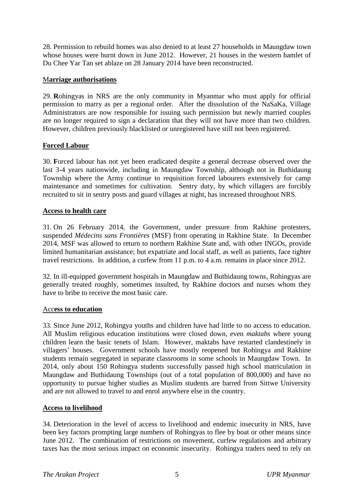28. Permission to rebuild homes was also denied to at least 27 households in Maungdaw town whose houses were burnt down in June 2012. However, 21 houses in the western hamlet of Du Chee Yar Tan set ablaze on 28 January 2014 have been reconstructed.

#### M**arriage authorisations**

29. **R**ohingyas in NRS are the only community in Myanmar who must apply for official permission to marry as per a regional order. After the dissolution of the NaSaKa, Village Administrators are now responsible for issuing such permission but newly married couples are no longer required to sign a declaration that they will not have more than two children. However, children previously blacklisted or unregistered have still not been registered.

#### **Forced Labour**

30. **F**orced labour has not yet been eradicated despite a general decrease observed over the last 3-4 years nationwide, including in Maungdaw Township, although not in Buthidaung Township where the Army continue to requisition forced labourers extensively for camp maintenance and sometimes for cultivation. Sentry duty, by which villagers are forcibly recruited to sit in sentry posts and guard villages at night, has increased throughout NRS.

#### **Access to health care**

31. On 26 February 2014, the Government, under pressure from Rakhine protesters, suspended *Médecins sans Frontières* (MSF) from operating in Rakhine State. In December 2014, MSF was allowed to return to northern Rakhine State and, with other INGOs, provide limited humanitarian assistance; but expatriate and local staff, as well as patients, face tighter travel restrictions. In addition, a curfew from 11 p.m. to 4 a.m. remains in place since 2012.

32. In ill-equipped government hospitals in Maungdaw and Buthidaung towns, Rohingyas are generally treated roughly, sometimes insulted, by Rakhine doctors and nurses whom they have to bribe to receive the most basic care.

#### Acc**ess to education**

33. Since June 2012, Rohingya youths and children have had little to no access to education. All Muslim religious education institutions were closed down, even *maktabs* where young children learn the basic tenets of Islam. However, maktabs have restarted clandestinely in villagers' houses. Government schools have mostly reopened but Rohingya and Rakhine students remain segregated in separate classrooms in some schools in Maungdaw Town. In 2014, only about 150 Rohingya students successfully passed high school matriculation in Maungdaw and Buthidaung Townships (out of a total population of 800,000) and have no opportunity to pursue higher studies as Muslim students are barred from Sittwe University and are not allowed to travel to and enrol anywhere else in the country.

#### **Access to livelihood**

34. Deterioration in the level of access to livelihood and endemic insecurity in NRS, have been key factors prompting large numbers of Rohingyas to flee by boat or other means since June 2012. The combination of restrictions on movement, curfew regulations and arbitrary taxes has the most serious impact on economic insecurity. Rohingya traders need to rely on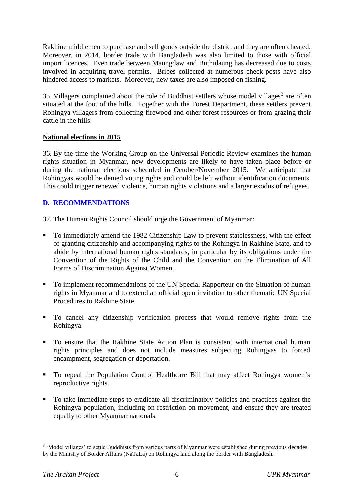Rakhine middlemen to purchase and sell goods outside the district and they are often cheated. Moreover, in 2014, border trade with Bangladesh was also limited to those with official import licences. Even trade between Maungdaw and Buthidaung has decreased due to costs involved in acquiring travel permits. Bribes collected at numerous check-posts have also hindered access to markets. Moreover, new taxes are also imposed on fishing.

35. Villagers complained about the role of Buddhist settlers whose model villages<sup>3</sup> are often situated at the foot of the hills. Together with the Forest Department, these settlers prevent Rohingya villagers from collecting firewood and other forest resources or from grazing their cattle in the hills.

#### **National elections in 2015**

36. By the time the Working Group on the Universal Periodic Review examines the human rights situation in Myanmar, new developments are likely to have taken place before or during the national elections scheduled in October/November 2015. We anticipate that Rohingyas would be denied voting rights and could be left without identification documents. This could trigger renewed violence, human rights violations and a larger exodus of refugees.

#### **D. RECOMMENDATIONS**

37. The Human Rights Council should urge the Government of Myanmar:

- To immediately amend the 1982 Citizenship Law to prevent statelessness, with the effect of granting citizenship and accompanying rights to the Rohingya in Rakhine State, and to abide by international human rights standards, in particular by its obligations under the Convention of the Rights of the Child and the Convention on the Elimination of All Forms of Discrimination Against Women.
- To implement recommendations of the UN Special Rapporteur on the Situation of human rights in Myanmar and to extend an official open invitation to other thematic UN Special Procedures to Rakhine State.
- To cancel any citizenship verification process that would remove rights from the Rohingya.
- To ensure that the Rakhine State Action Plan is consistent with international human rights principles and does not include measures subjecting Rohingyas to forced encampment, segregation or deportation.
- To repeal the Population Control Healthcare Bill that may affect Rohingya women's reproductive rights.
- To take immediate steps to eradicate all discriminatory policies and practices against the Rohingya population, including on restriction on movement, and ensure they are treated equally to other Myanmar nationals.

1

<sup>&</sup>lt;sup>3</sup> 'Model villages' to settle Buddhists from various parts of Myanmar were established during previous decades by the Ministry of Border Affairs (NaTaLa) on Rohingya land along the border with Bangladesh.